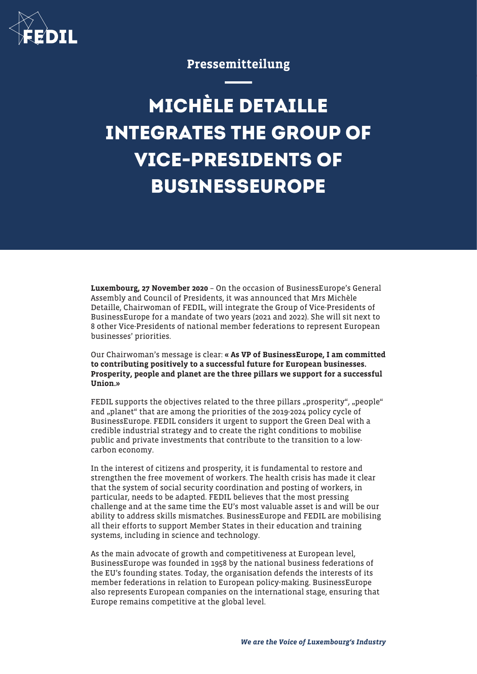

## Pressemitteilung

## **MICHÈLE DETAILLE INTEGRATES THE GROUP OF VICE-PRESIDENTS OF BUSINESSEUROPE**

Luxembourg, 27 November 2020 – On the occasion of BusinessEurope's General Assembly and Council of Presidents, it was announced that Mrs Michèle Detaille, Chairwoman of FEDIL, will integrate the Group of Vice-Presidents of BusinessEurope for a mandate of two years (2021 and 2022). She will sit next to 8 other Vice-Presidents of national member federations to represent European businesses' priorities.

Our Chairwoman's message is clear: « As VP of BusinessEurope, I am committed to contributing positively to a successful future for European businesses. Prosperity, people and planet are the three pillars we support for a successful Union.»

FEDIL supports the objectives related to the three pillars "prosperity", "people" and "planet" that are among the priorities of the 2019-2024 policy cycle of BusinessEurope. FEDIL considers it urgent to support the Green Deal with a credible industrial strategy and to create the right conditions to mobilise public and private investments that contribute to the transition to a lowcarbon economy.

In the interest of citizens and prosperity, it is fundamental to restore and strengthen the free movement of workers. The health crisis has made it clear that the system of social security coordination and posting of workers, in particular, needs to be adapted. FEDIL believes that the most pressing challenge and at the same time the EU's most valuable asset is and will be our ability to address skills mismatches. BusinessEurope and FEDIL are mobilising all their efforts to support Member States in their education and training systems, including in science and technology.

As the main advocate of growth and competitiveness at European level, BusinessEurope was founded in 1958 by the national business federations of the EU's founding states. Today, the organisation defends the interests of its member federations in relation to European policy-making. BusinessEurope also represents European companies on the international stage, ensuring that Europe remains competitive at the global level.